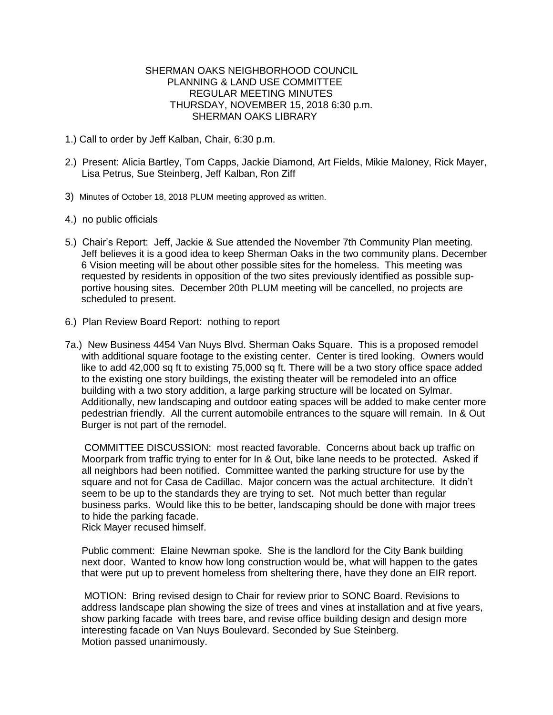## SHERMAN OAKS NEIGHBORHOOD COUNCIL PLANNING & LAND USE COMMITTEE REGULAR MEETING MINUTES THURSDAY, NOVEMBER 15, 2018 6:30 p.m. SHERMAN OAKS LIBRARY

- 1.) Call to order by Jeff Kalban, Chair, 6:30 p.m.
- 2.) Present: Alicia Bartley, Tom Capps, Jackie Diamond, Art Fields, Mikie Maloney, Rick Mayer, Lisa Petrus, Sue Steinberg, Jeff Kalban, Ron Ziff
- 3) Minutes of October 18, 2018 PLUM meeting approved as written.
- 4.) no public officials
- 5.) Chair's Report: Jeff, Jackie & Sue attended the November 7th Community Plan meeting*.*  Jeff believes it is a good idea to keep Sherman Oaks in the two community plans. December 6 Vision meeting will be about other possible sites for the homeless. This meeting was requested by residents in opposition of the two sites previously identified as possible supportive housing sites. December 20th PLUM meeting will be cancelled, no projects are scheduled to present.
- 6.) Plan Review Board Report: nothing to report
- 7a.) New Business 4454 Van Nuys Blvd. Sherman Oaks Square. This is a proposed remodel with additional square footage to the existing center. Center is tired looking. Owners would like to add 42,000 sq ft to existing 75,000 sq ft. There will be a two story office space added to the existing one story buildings, the existing theater will be remodeled into an office building with a two story addition, a large parking structure will be located on Sylmar. Additionally, new landscaping and outdoor eating spaces will be added to make center more pedestrian friendly. All the current automobile entrances to the square will remain. In & Out Burger is not part of the remodel.

 COMMITTEE DISCUSSION: most reacted favorable. Concerns about back up traffic on Moorpark from traffic trying to enter for In & Out, bike lane needs to be protected. Asked if all neighbors had been notified. Committee wanted the parking structure for use by the square and not for Casa de Cadillac. Major concern was the actual architecture. It didn't seem to be up to the standards they are trying to set. Not much better than regular business parks. Would like this to be better, landscaping should be done with major trees to hide the parking facade.

Rick Mayer recused himself.

 Public comment: Elaine Newman spoke. She is the landlord for the City Bank building next door. Wanted to know how long construction would be, what will happen to the gates that were put up to prevent homeless from sheltering there, have they done an EIR report.

MOTION: Bring revised design to Chair for review prior to SONC Board. Revisions to address landscape plan showing the size of trees and vines at installation and at five years, show parking facade with trees bare, and revise office building design and design more interesting facade on Van Nuys Boulevard. Seconded by Sue Steinberg. Motion passed unanimously.